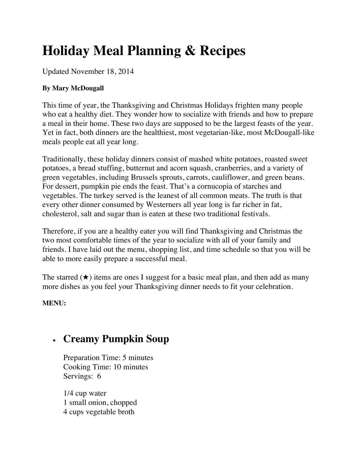# **Holiday Meal Planning & Recipes**

Updated November 18, 2014

#### **By Mary McDougall**

This time of year, the Thanksgiving and Christmas Holidays frighten many people who eat a healthy diet. They wonder how to socialize with friends and how to prepare a meal in their home. These two days are supposed to be the largest feasts of the year. Yet in fact, both dinners are the healthiest, most vegetarian-like, most McDougall-like meals people eat all year long.

Traditionally, these holiday dinners consist of mashed white potatoes, roasted sweet potatoes, a bread stuffing, butternut and acorn squash, cranberries, and a variety of green vegetables, including Brussels sprouts, carrots, cauliflower, and green beans. For dessert, pumpkin pie ends the feast. That's a cornucopia of starches and vegetables. The turkey served is the leanest of all common meats. The truth is that every other dinner consumed by Westerners all year long is far richer in fat, cholesterol, salt and sugar than is eaten at these two traditional festivals.

Therefore, if you are a healthy eater you will find Thanksgiving and Christmas the two most comfortable times of the year to socialize with all of your family and friends. I have laid out the menu, shopping list, and time schedule so that you will be able to more easily prepare a successful meal.

The starred  $(\star)$  items are ones I suggest for a basic meal plan, and then add as many more dishes as you feel your Thanksgiving dinner needs to fit your celebration.

**MENU:**

## • **Creamy Pumpkin Soup**

Preparation Time: 5 minutes Cooking Time: 10 minutes Servings: 6

1/4 cup water 1 small onion, chopped 4 cups vegetable broth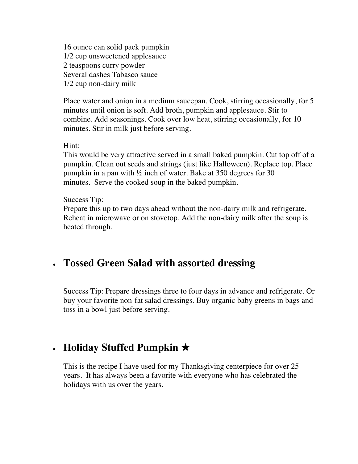16 ounce can solid pack pumpkin 1/2 cup unsweetened applesauce 2 teaspoons curry powder Several dashes Tabasco sauce 1/2 cup non-dairy milk

Place water and onion in a medium saucepan. Cook, stirring occasionally, for 5 minutes until onion is soft. Add broth, pumpkin and applesauce. Stir to combine. Add seasonings. Cook over low heat, stirring occasionally, for 10 minutes. Stir in milk just before serving.

Hint:

This would be very attractive served in a small baked pumpkin. Cut top off of a pumpkin. Clean out seeds and strings (just like Halloween). Replace top. Place pumpkin in a pan with  $\frac{1}{2}$  inch of water. Bake at 350 degrees for 30 minutes. Serve the cooked soup in the baked pumpkin.

Success Tip:

Prepare this up to two days ahead without the non-dairy milk and refrigerate. Reheat in microwave or on stovetop. Add the non-dairy milk after the soup is heated through.

## • **Tossed Green Salad with assorted dressing**

Success Tip: Prepare dressings three to four days in advance and refrigerate. Or buy your favorite non-fat salad dressings. Buy organic baby greens in bags and toss in a bowl just before serving.

# • **Holiday Stuffed Pumpkin** ★

This is the recipe I have used for my Thanksgiving centerpiece for over 25 years. It has always been a favorite with everyone who has celebrated the holidays with us over the years.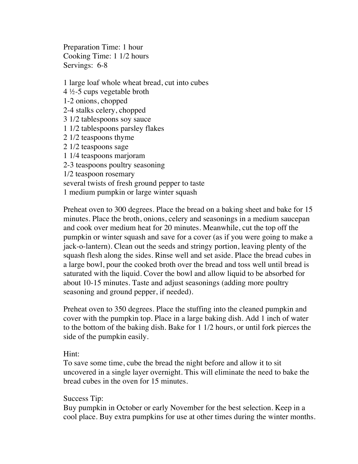Preparation Time: 1 hour Cooking Time: 1 1/2 hours Servings: 6-8

1 large loaf whole wheat bread, cut into cubes 4 ½-5 cups vegetable broth 1-2 onions, chopped 2-4 stalks celery, chopped 3 1/2 tablespoons soy sauce 1 1/2 tablespoons parsley flakes 2 1/2 teaspoons thyme 2 1/2 teaspoons sage 1 1/4 teaspoons marjoram 2-3 teaspoons poultry seasoning 1/2 teaspoon rosemary several twists of fresh ground pepper to taste 1 medium pumpkin or large winter squash

Preheat oven to 300 degrees. Place the bread on a baking sheet and bake for 15 minutes. Place the broth, onions, celery and seasonings in a medium saucepan and cook over medium heat for 20 minutes. Meanwhile, cut the top off the pumpkin or winter squash and save for a cover (as if you were going to make a jack-o-lantern). Clean out the seeds and stringy portion, leaving plenty of the squash flesh along the sides. Rinse well and set aside. Place the bread cubes in a large bowl, pour the cooked broth over the bread and toss well until bread is saturated with the liquid. Cover the bowl and allow liquid to be absorbed for about 10-15 minutes. Taste and adjust seasonings (adding more poultry seasoning and ground pepper, if needed).

Preheat oven to 350 degrees. Place the stuffing into the cleaned pumpkin and cover with the pumpkin top. Place in a large baking dish. Add 1 inch of water to the bottom of the baking dish. Bake for 1 1/2 hours, or until fork pierces the side of the pumpkin easily.

#### Hint:

To save some time, cube the bread the night before and allow it to sit uncovered in a single layer overnight. This will eliminate the need to bake the bread cubes in the oven for 15 minutes.

#### Success Tip:

Buy pumpkin in October or early November for the best selection. Keep in a cool place. Buy extra pumpkins for use at other times during the winter months.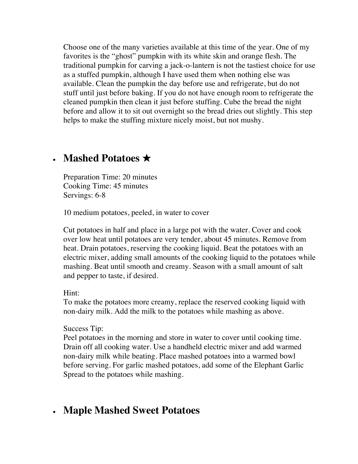Choose one of the many varieties available at this time of the year. One of my favorites is the "ghost" pumpkin with its white skin and orange flesh. The traditional pumpkin for carving a jack-o-lantern is not the tastiest choice for use as a stuffed pumpkin, although I have used them when nothing else was available. Clean the pumpkin the day before use and refrigerate, but do not stuff until just before baking. If you do not have enough room to refrigerate the cleaned pumpkin then clean it just before stuffing. Cube the bread the night before and allow it to sit out overnight so the bread dries out slightly. This step helps to make the stuffing mixture nicely moist, but not mushy.

### • **Mashed Potatoes** ★

Preparation Time: 20 minutes Cooking Time: 45 minutes Servings: 6-8

10 medium potatoes, peeled, in water to cover

Cut potatoes in half and place in a large pot with the water. Cover and cook over low heat until potatoes are very tender, about 45 minutes. Remove from heat. Drain potatoes, reserving the cooking liquid. Beat the potatoes with an electric mixer, adding small amounts of the cooking liquid to the potatoes while mashing. Beat until smooth and creamy. Season with a small amount of salt and pepper to taste, if desired.

Hint:

To make the potatoes more creamy, replace the reserved cooking liquid with non-dairy milk. Add the milk to the potatoes while mashing as above.

Success Tip:

Peel potatoes in the morning and store in water to cover until cooking time. Drain off all cooking water. Use a handheld electric mixer and add warmed non-dairy milk while beating. Place mashed potatoes into a warmed bowl before serving. For garlic mashed potatoes, add some of the Elephant Garlic Spread to the potatoes while mashing.

### • **Maple Mashed Sweet Potatoes**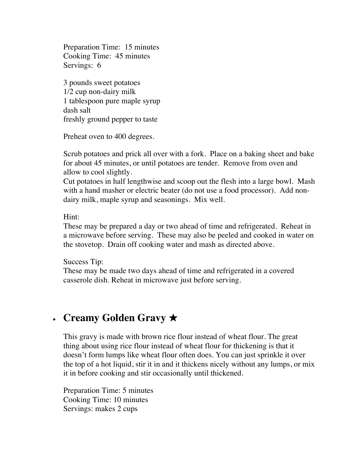Preparation Time: 15 minutes Cooking Time: 45 minutes Servings: 6

3 pounds sweet potatoes 1/2 cup non-dairy milk 1 tablespoon pure maple syrup dash salt freshly ground pepper to taste

Preheat oven to 400 degrees.

Scrub potatoes and prick all over with a fork. Place on a baking sheet and bake for about 45 minutes, or until potatoes are tender. Remove from oven and allow to cool slightly.

Cut potatoes in half lengthwise and scoop out the flesh into a large bowl. Mash with a hand masher or electric beater (do not use a food processor). Add nondairy milk, maple syrup and seasonings. Mix well.

Hint:

These may be prepared a day or two ahead of time and refrigerated. Reheat in a microwave before serving. These may also be peeled and cooked in water on the stovetop. Drain off cooking water and mash as directed above.

Success Tip:

These may be made two days ahead of time and refrigerated in a covered casserole dish. Reheat in microwave just before serving.

# • **Creamy Golden Gravy** ★

This gravy is made with brown rice flour instead of wheat flour. The great thing about using rice flour instead of wheat flour for thickening is that it doesn't form lumps like wheat flour often does. You can just sprinkle it over the top of a hot liquid, stir it in and it thickens nicely without any lumps, or mix it in before cooking and stir occasionally until thickened.

Preparation Time: 5 minutes Cooking Time: 10 minutes Servings: makes 2 cups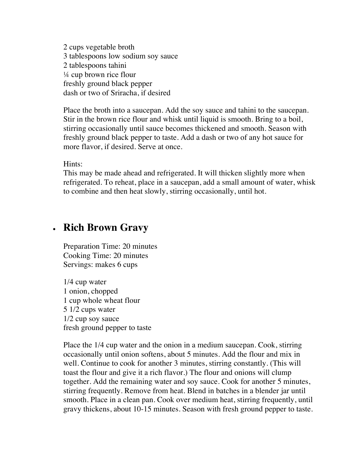2 cups vegetable broth 3 tablespoons low sodium soy sauce 2 tablespoons tahini ¼ cup brown rice flour freshly ground black pepper dash or two of Sriracha, if desired

Place the broth into a saucepan. Add the soy sauce and tahini to the saucepan. Stir in the brown rice flour and whisk until liquid is smooth. Bring to a boil, stirring occasionally until sauce becomes thickened and smooth. Season with freshly ground black pepper to taste. Add a dash or two of any hot sauce for more flavor, if desired. Serve at once.

Hints:

This may be made ahead and refrigerated. It will thicken slightly more when refrigerated. To reheat, place in a saucepan, add a small amount of water, whisk to combine and then heat slowly, stirring occasionally, until hot.

### • **Rich Brown Gravy**

Preparation Time: 20 minutes Cooking Time: 20 minutes Servings: makes 6 cups

1/4 cup water 1 onion, chopped 1 cup whole wheat flour 5 1/2 cups water 1/2 cup soy sauce fresh ground pepper to taste

Place the 1/4 cup water and the onion in a medium saucepan. Cook, stirring occasionally until onion softens, about 5 minutes. Add the flour and mix in well. Continue to cook for another 3 minutes, stirring constantly. (This will toast the flour and give it a rich flavor.) The flour and onions will clump together. Add the remaining water and soy sauce. Cook for another 5 minutes, stirring frequently. Remove from heat. Blend in batches in a blender jar until smooth. Place in a clean pan. Cook over medium heat, stirring frequently, until gravy thickens, about 10-15 minutes. Season with fresh ground pepper to taste.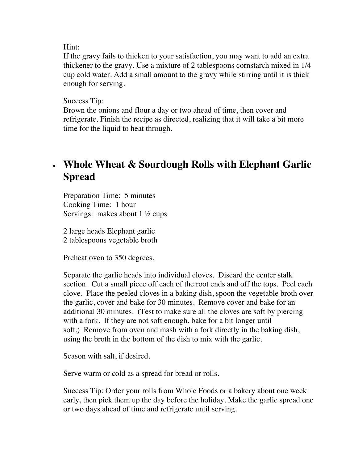#### Hint:

If the gravy fails to thicken to your satisfaction, you may want to add an extra thickener to the gravy. Use a mixture of 2 tablespoons cornstarch mixed in 1/4 cup cold water. Add a small amount to the gravy while stirring until it is thick enough for serving.

#### Success Tip:

Brown the onions and flour a day or two ahead of time, then cover and refrigerate. Finish the recipe as directed, realizing that it will take a bit more time for the liquid to heat through.

# • **Whole Wheat & Sourdough Rolls with Elephant Garlic Spread**

Preparation Time: 5 minutes Cooking Time: 1 hour Servings: makes about  $1 \frac{1}{2}$  cups

2 large heads Elephant garlic 2 tablespoons vegetable broth

Preheat oven to 350 degrees.

Separate the garlic heads into individual cloves. Discard the center stalk section. Cut a small piece off each of the root ends and off the tops. Peel each clove. Place the peeled cloves in a baking dish, spoon the vegetable broth over the garlic, cover and bake for 30 minutes. Remove cover and bake for an additional 30 minutes. (Test to make sure all the cloves are soft by piercing with a fork. If they are not soft enough, bake for a bit longer until soft.) Remove from oven and mash with a fork directly in the baking dish, using the broth in the bottom of the dish to mix with the garlic.

Season with salt, if desired.

Serve warm or cold as a spread for bread or rolls.

Success Tip: Order your rolls from Whole Foods or a bakery about one week early, then pick them up the day before the holiday. Make the garlic spread one or two days ahead of time and refrigerate until serving.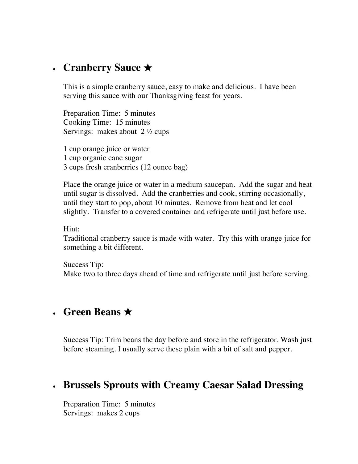## • **Cranberry Sauce** ★

This is a simple cranberry sauce, easy to make and delicious. I have been serving this sauce with our Thanksgiving feast for years.

Preparation Time: 5 minutes Cooking Time: 15 minutes Servings: makes about  $2 \frac{1}{2}$  cups

1 cup orange juice or water 1 cup organic cane sugar 3 cups fresh cranberries (12 ounce bag)

Place the orange juice or water in a medium saucepan. Add the sugar and heat until sugar is dissolved. Add the cranberries and cook, stirring occasionally, until they start to pop, about 10 minutes. Remove from heat and let cool slightly. Transfer to a covered container and refrigerate until just before use.

Hint:

Traditional cranberry sauce is made with water. Try this with orange juice for something a bit different.

Success Tip: Make two to three days ahead of time and refrigerate until just before serving.

### • **Green Beans** ★

Success Tip: Trim beans the day before and store in the refrigerator. Wash just before steaming. I usually serve these plain with a bit of salt and pepper.

# • **Brussels Sprouts with Creamy Caesar Salad Dressing**

Preparation Time: 5 minutes Servings: makes 2 cups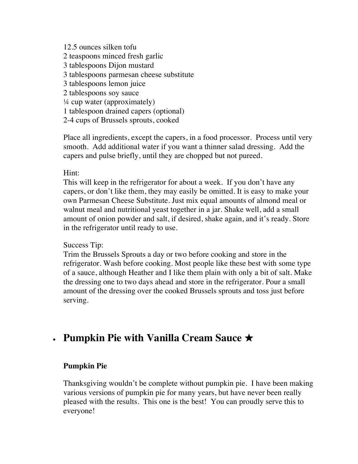12.5 ounces silken tofu 2 teaspoons minced fresh garlic 3 tablespoons Dijon mustard 3 tablespoons parmesan cheese substitute 3 tablespoons lemon juice 2 tablespoons soy sauce  $\frac{1}{4}$  cup water (approximately) 1 tablespoon drained capers (optional) 2-4 cups of Brussels sprouts, cooked

Place all ingredients, except the capers, in a food processor. Process until very smooth. Add additional water if you want a thinner salad dressing. Add the capers and pulse briefly, until they are chopped but not pureed.

#### Hint:

This will keep in the refrigerator for about a week. If you don't have any capers, or don't like them, they may easily be omitted. It is easy to make your own Parmesan Cheese Substitute. Just mix equal amounts of almond meal or walnut meal and nutritional yeast together in a jar. Shake well, add a small amount of onion powder and salt, if desired, shake again, and it's ready. Store in the refrigerator until ready to use.

#### Success Tip:

Trim the Brussels Sprouts a day or two before cooking and store in the refrigerator. Wash before cooking. Most people like these best with some type of a sauce, although Heather and I like them plain with only a bit of salt. Make the dressing one to two days ahead and store in the refrigerator. Pour a small amount of the dressing over the cooked Brussels sprouts and toss just before serving.

## • **Pumpkin Pie with Vanilla Cream Sauce** ★

#### **Pumpkin Pie**

Thanksgiving wouldn't be complete without pumpkin pie. I have been making various versions of pumpkin pie for many years, but have never been really pleased with the results. This one is the best! You can proudly serve this to everyone!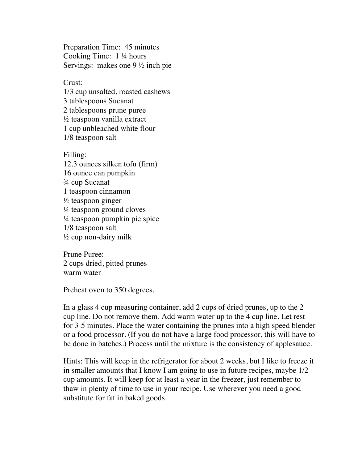Preparation Time: 45 minutes Cooking Time: 1 ¼ hours Servings: makes one 9 ½ inch pie

Crust: 1/3 cup unsalted, roasted cashews 3 tablespoons Sucanat 2 tablespoons prune puree ½ teaspoon vanilla extract 1 cup unbleached white flour 1/8 teaspoon salt

Filling: 12.3 ounces silken tofu (firm) 16 ounce can pumpkin ¾ cup Sucanat 1 teaspoon cinnamon  $\frac{1}{2}$  teaspoon ginger ¼ teaspoon ground cloves ¼ teaspoon pumpkin pie spice 1/8 teaspoon salt  $\frac{1}{2}$  cup non-dairy milk

Prune Puree: 2 cups dried, pitted prunes warm water

Preheat oven to 350 degrees.

In a glass 4 cup measuring container, add 2 cups of dried prunes, up to the 2 cup line. Do not remove them. Add warm water up to the 4 cup line. Let rest for 3-5 minutes. Place the water containing the prunes into a high speed blender or a food processor. (If you do not have a large food processor, this will have to be done in batches.) Process until the mixture is the consistency of applesauce.

Hints: This will keep in the refrigerator for about 2 weeks, but I like to freeze it in smaller amounts that I know I am going to use in future recipes, maybe 1/2 cup amounts. It will keep for at least a year in the freezer, just remember to thaw in plenty of time to use in your recipe. Use wherever you need a good substitute for fat in baked goods.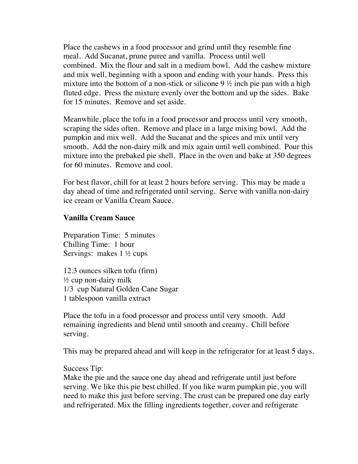Place the cashews in a food processor and grind until they resemble fine meal. Add Sucanat, prune puree and vanilla. Process until well combined. Mix the flour and salt in a medium bowl. Add the cashew mixture and mix well, beginning with a spoon and ending with your hands. Press this mixture into the bottom of a non-stick or silicone  $9\frac{1}{2}$  inch pie pan with a high fluted edge. Press the mixture evenly over the bottom and up the sides. Bake for 15 minutes. Remove and set aside.

Meanwhile, place the tofu in a food processor and process until very smooth, scraping the sides often. Remove and place in a large mixing bowl. Add the pumpkin and mix well. Add the Sucanat and the spices and mix until very smooth. Add the non-dairy milk and mix again until well combined. Pour this mixture into the prebaked pie shell. Place in the oven and bake at 350 degrees for 60 minutes. Remove and cool.

For best flavor, chill for at least 2 hours before serving. This may be made a day ahead of time and refrigerated until serving. Serve with vanilla non-dairy ice cream or Vanilla Cream Sauce.

#### **Vanilla Cream Sauce**

Preparation Time: 5 minutes Chilling Time: 1 hour Servings: makes 1 ½ cups

12.3 ounces silken tofu (firm)  $\frac{1}{2}$  cup non-dairy milk 1/3 cup Natural Golden Cane Sugar 1 tablespoon vanilla extract

Place the tofu in a food processor and process until very smooth. Add remaining ingredients and blend until smooth and creamy. Chill before serving.

This may be prepared ahead and will keep in the refrigerator for at least 5 days.

#### Success Tip:

Make the pie and the sauce one day ahead and refrigerate until just before serving. We like this pie best chilled. If you like warm pumpkin pie, you will need to make this just before serving. The crust can be prepared one day early and refrigerated. Mix the filling ingredients together, cover and refrigerate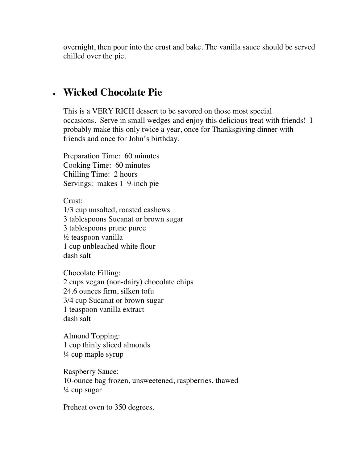overnight, then pour into the crust and bake. The vanilla sauce should be served chilled over the pie.

### • **Wicked Chocolate Pie**

This is a VERY RICH dessert to be savored on those most special occasions. Serve in small wedges and enjoy this delicious treat with friends! I probably make this only twice a year, once for Thanksgiving dinner with friends and once for John's birthday.

Preparation Time: 60 minutes Cooking Time: 60 minutes Chilling Time: 2 hours Servings: makes 1 9-inch pie

Crust: 1/3 cup unsalted, roasted cashews 3 tablespoons Sucanat or brown sugar 3 tablespoons prune puree  $\frac{1}{2}$  teaspoon vanilla 1 cup unbleached white flour dash salt

Chocolate Filling: 2 cups vegan (non-dairy) chocolate chips 24.6 ounces firm, silken tofu 3/4 cup Sucanat or brown sugar 1 teaspoon vanilla extract dash salt

Almond Topping: 1 cup thinly sliced almonds ¼ cup maple syrup

Raspberry Sauce: 10-ounce bag frozen, unsweetened, raspberries, thawed  $\frac{1}{4}$  cup sugar

Preheat oven to 350 degrees.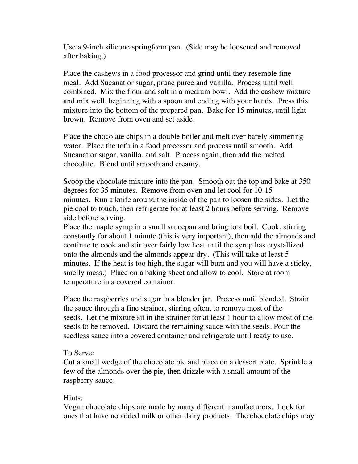Use a 9-inch silicone springform pan. (Side may be loosened and removed after baking.)

Place the cashews in a food processor and grind until they resemble fine meal. Add Sucanat or sugar, prune puree and vanilla. Process until well combined. Mix the flour and salt in a medium bowl. Add the cashew mixture and mix well, beginning with a spoon and ending with your hands. Press this mixture into the bottom of the prepared pan. Bake for 15 minutes, until light brown. Remove from oven and set aside.

Place the chocolate chips in a double boiler and melt over barely simmering water. Place the tofu in a food processor and process until smooth. Add Sucanat or sugar, vanilla, and salt. Process again, then add the melted chocolate. Blend until smooth and creamy.

Scoop the chocolate mixture into the pan. Smooth out the top and bake at 350 degrees for 35 minutes. Remove from oven and let cool for 10-15 minutes. Run a knife around the inside of the pan to loosen the sides. Let the pie cool to touch, then refrigerate for at least 2 hours before serving. Remove side before serving.

Place the maple syrup in a small saucepan and bring to a boil. Cook, stirring constantly for about 1 minute (this is very important), then add the almonds and continue to cook and stir over fairly low heat until the syrup has crystallized onto the almonds and the almonds appear dry. (This will take at least 5 minutes. If the heat is too high, the sugar will burn and you will have a sticky, smelly mess.) Place on a baking sheet and allow to cool. Store at room temperature in a covered container.

Place the raspberries and sugar in a blender jar. Process until blended. Strain the sauce through a fine strainer, stirring often, to remove most of the seeds. Let the mixture sit in the strainer for at least 1 hour to allow most of the seeds to be removed. Discard the remaining sauce with the seeds. Pour the seedless sauce into a covered container and refrigerate until ready to use.

#### To Serve:

Cut a small wedge of the chocolate pie and place on a dessert plate. Sprinkle a few of the almonds over the pie, then drizzle with a small amount of the raspberry sauce.

#### Hints:

Vegan chocolate chips are made by many different manufacturers. Look for ones that have no added milk or other dairy products. The chocolate chips may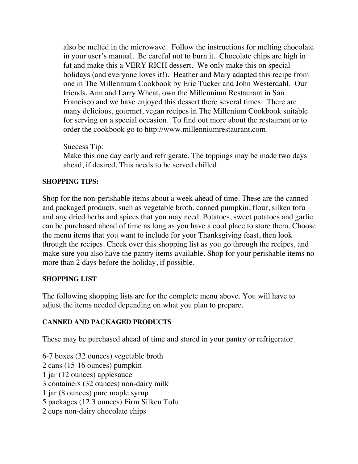also be melted in the microwave. Follow the instructions for melting chocolate in your user's manual. Be careful not to burn it. Chocolate chips are high in fat and make this a VERY RICH dessert. We only make this on special holidays (and everyone loves it!). Heather and Mary adapted this recipe from one in The Millennium Cookbook by Eric Tucker and John Westerdahl. Our friends, Ann and Larry Wheat, own the Millennium Restaurant in San Francisco and we have enjoyed this dessert there several times. There are many delicious, gourmet, vegan recipes in The Millenium Cookbook suitable for serving on a special occasion. To find out more about the restaurant or to order the cookbook go to http://www.millenniumrestaurant.com.

Success Tip:

Make this one day early and refrigerate. The toppings may be made two days ahead, if desired. This needs to be served chilled.

#### **SHOPPING TIPS:**

Shop for the non-perishable items about a week ahead of time. These are the canned and packaged products, such as vegetable broth, canned pumpkin, flour, silken tofu and any dried herbs and spices that you may need. Potatoes, sweet potatoes and garlic can be purchased ahead of time as long as you have a cool place to store them. Choose the menu items that you want to include for your Thanksgiving feast, then look through the recipes. Check over this shopping list as you go through the recipes, and make sure you also have the pantry items available. Shop for your perishable items no more than 2 days before the holiday, if possible.

#### **SHOPPING LIST**

The following shopping lists are for the complete menu above. You will have to adjust the items needed depending on what you plan to prepare.

#### **CANNED AND PACKAGED PRODUCTS**

These may be purchased ahead of time and stored in your pantry or refrigerator.

- 6-7 boxes (32 ounces) vegetable broth
- 2 cans (15-16 ounces) pumpkin
- 1 jar (12 ounces) applesauce
- 3 containers (32 ounces) non-dairy milk
- 1 jar (8 ounces) pure maple syrup
- 5 packages (12.3 ounces) Firm Silken Tofu
- 2 cups non-dairy chocolate chips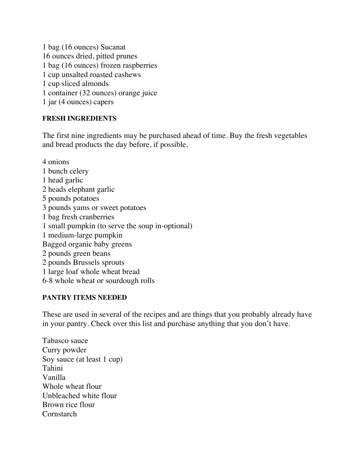1 bag (16 ounces) Sucanat 16 ounces dried, pitted prunes 1 bag (16 ounces) frozen raspberries 1 cup unsalted roasted cashews 1 cup sliced almonds 1 container (32 ounces) orange juice 1 jar (4 ounces) capers

#### **FRESH INGREDIENTS**

The first nine ingredients may be purchased ahead of time. Buy the fresh vegetables and bread products the day before, if possible.

4 onions 1 bunch celery 1 head garlic 2 heads elephant garlic 5 pounds potatoes 3 pounds yams or sweet potatoes 1 bag fresh cranberries 1 small pumpkin (to serve the soup in-optional) 1 medium-large pumpkin Bagged organic baby greens 2 pounds green beans 2 pounds Brussels sprouts 1 large loaf whole wheat bread 6-8 whole wheat or sourdough rolls

#### **PANTRY ITEMS NEEDED**

These are used in several of the recipes and are things that you probably already have in your pantry. Check over this list and purchase anything that you don't have.

Tabasco sauce Curry powder Soy sauce (at least 1 cup) Tahini Vanilla Whole wheat flour Unbleached white flour Brown rice flour **Cornstarch**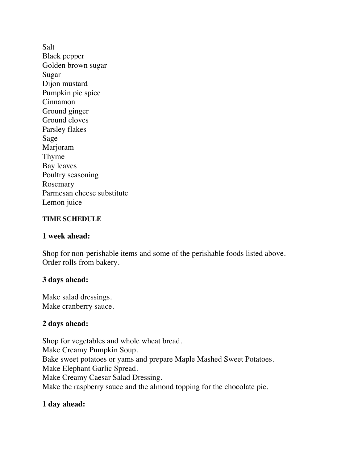Salt Black pepper Golden brown sugar Sugar Dijon mustard Pumpkin pie spice Cinnamon Ground ginger Ground cloves Parsley flakes Sage Marjoram Thyme Bay leaves Poultry seasoning Rosemary Parmesan cheese substitute Lemon juice

#### **TIME SCHEDULE**

#### **1 week ahead:**

Shop for non-perishable items and some of the perishable foods listed above. Order rolls from bakery.

#### **3 days ahead:**

Make salad dressings. Make cranberry sauce.

#### **2 days ahead:**

Shop for vegetables and whole wheat bread. Make Creamy Pumpkin Soup. Bake sweet potatoes or yams and prepare Maple Mashed Sweet Potatoes. Make Elephant Garlic Spread. Make Creamy Caesar Salad Dressing. Make the raspberry sauce and the almond topping for the chocolate pie.

#### **1 day ahead:**